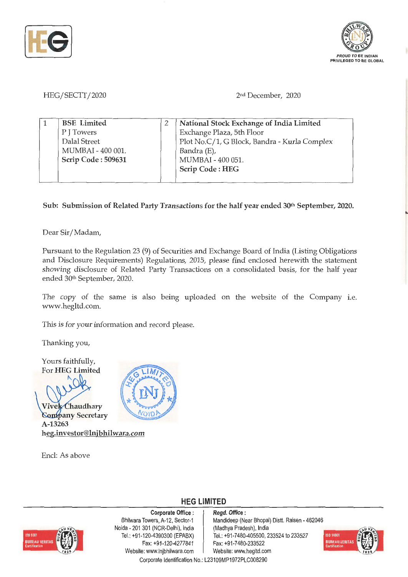



HEG/SECTT/2020

2nd December, 2020

| <b>BSE</b> Limited | National Stock Exchange of India Limited     |
|--------------------|----------------------------------------------|
| P J Towers         | Exchange Plaza, 5th Floor                    |
| Dalal Street       | Plot No.C/1, G Block, Bandra - Kurla Complex |
| MUMBAI - 400 001.  | Bandra (E),                                  |
| Scrip Code: 509631 | MUMBAI - 400 051.                            |
|                    | Scrip Code: HEG                              |
|                    |                                              |

Sub: Submission of Related Party Transactions for the half year ended 30<sup>th</sup> September, 2020.

Dear Sir/ Madam,

Pursuant to the Regulation 23 (9) of Securities and Exchange Board of India (Listing Obligations and Disclosure Requirements) Regulations, 2015, please find enclosed herewith the statement showing disclosure of Related Party Transactions on a consolidated basis, for the half year ended 30th September, 2020.

The copy of the same is also being uploaded on the website of the Company i.e. www.hegltd.com.

This is for your information and record please.

Thanking you,

Yours faithfully, For **HEG Limited** 

 $\mathsf{N}_1$ 

**Vivek** Chaudhary *<u>Company Secretary</u>* **A-13263 heg.investor@lnjbhilwara.com** 

Encl: As above



**HEG LIMITED** 



**Corporate Office** : Bhilwara Towers, A-12, Sector-1 Noida - 201 301 (NCR-Delhi), India Tel.: +91-120-4390300 (EPABX) Fax: +91-120-4277841 Website: www.lnjbhilwara.com | Website: www.hegltd.con

**Regd. Office** : Mandideep (Near Bhopal) Distt. Raisen - 462046 (Madhya Pradesh), India Tel.: +91-7480-405500, 233524 to 233527 Fax: +91-7480-233522



Corporate Identification No.: L23109MP1972PLC00829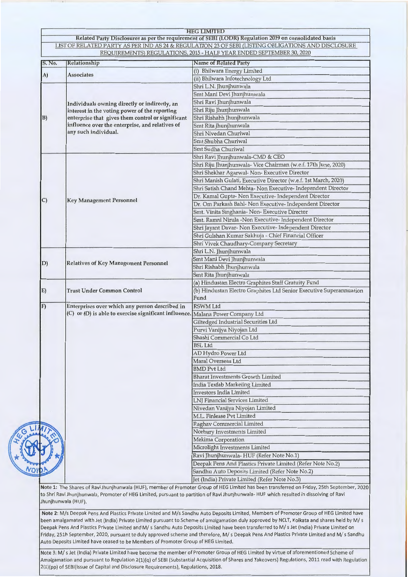|        |                                                                                                                                                     | Related Party Disclosures as per the requirement of SEBI (LODR) Regulation 2019 on consolidated basis        |
|--------|-----------------------------------------------------------------------------------------------------------------------------------------------------|--------------------------------------------------------------------------------------------------------------|
|        |                                                                                                                                                     | LIST OF RELATED PARTY AS PER IND AS 24 & REGULATION 23 OF SEBI (LISTING OBLIGATIONS AND DISCLOSURE           |
|        |                                                                                                                                                     | REQUIREMENTS) REGULATIONS, 2015 - HALF YEAR ENDED SEPTEMBER 30, 2020                                         |
| S. No. | Relationship                                                                                                                                        | <b>Name of Related Party</b>                                                                                 |
|        |                                                                                                                                                     | (i) Bhilwara Energy Limited                                                                                  |
| A)     | <b>Associates</b>                                                                                                                                   | (ii) Bhilwara Infotechnology Ltd                                                                             |
|        |                                                                                                                                                     | Shri L.N. Jhunjhunwala                                                                                       |
|        |                                                                                                                                                     | Smt Mani Devi Jhunjhunwala                                                                                   |
|        | Individuals owning directly or indirectly, an<br>interest in the voting power of the reporting<br>enterprise that gives them control or significant | Shri Ravi Jhunjhunwala                                                                                       |
|        |                                                                                                                                                     | Shri Riju Jhunjhunwala                                                                                       |
| B)     |                                                                                                                                                     | Shri Rishabh Jhunjhunwala                                                                                    |
|        | influence over the enterprise, and relatives of                                                                                                     | Smt Rita Jhunjhunwala                                                                                        |
|        | any such individual.                                                                                                                                | Shri Nivedan Churiwal                                                                                        |
|        |                                                                                                                                                     | Smt Shubha Churiwal                                                                                          |
|        |                                                                                                                                                     | Smt Sudha Churiwal                                                                                           |
|        |                                                                                                                                                     | Shri Ravi Jhunjhunwala-CMD & CEO                                                                             |
|        |                                                                                                                                                     | Shri Riju Jhunjhunwala- Vice Chairman (w.e.f. 17th June, 2020)                                               |
|        |                                                                                                                                                     | Shri Shekhar Agarwal- Non- Executive Director                                                                |
|        |                                                                                                                                                     | Shri Manish Gulati, Executive Director (w.e.f. 1st March, 2020)                                              |
|        |                                                                                                                                                     | Shri Satish Chand Mehta- Non Executive- Independent Director                                                 |
|        |                                                                                                                                                     | Dr. Kamal Gupta- Non Executive- Independent Director                                                         |
| C)     | <b>Key Management Personnel</b>                                                                                                                     | Dr. Om Parkash Bahl- Non Executive- Independent Director                                                     |
|        |                                                                                                                                                     |                                                                                                              |
|        |                                                                                                                                                     | Smt. Vinita Singhania- Non- Executive Director                                                               |
|        |                                                                                                                                                     | Smt. Ramni Nirula -Non Executive- Independent Director                                                       |
|        |                                                                                                                                                     | Shri Jayant Davar- Non Executive- Independent Director                                                       |
|        |                                                                                                                                                     | Shri Gulshan Kumar Sakhuja - Chief Financial Officer                                                         |
|        |                                                                                                                                                     | Shri Vivek Chaudhary-Company Secretary                                                                       |
|        |                                                                                                                                                     | Shri L.N. Jhunjhunwala                                                                                       |
| D)     | <b>Relatives of Key Management Personnel</b>                                                                                                        | Smt Mani Devi Jhunjhunwala                                                                                   |
|        |                                                                                                                                                     | Shri Rishabh Jhunjhunwala                                                                                    |
|        |                                                                                                                                                     | Smt Rita Jhunjhunwala                                                                                        |
|        |                                                                                                                                                     | (a) Hindustan Electro Graphites Staff Gratuity Fund                                                          |
| E)     | <b>Trust Under Common Control</b>                                                                                                                   | (b) Hindustan Electro Graphites Ltd Senior Executive Superannuation                                          |
|        |                                                                                                                                                     | Fund                                                                                                         |
| F      | Enterprises over which any person described in                                                                                                      | <b>RSWM Ltd</b>                                                                                              |
|        | (C) or (D) is able to exercise significant influence. Malana Power Company Ltd                                                                      |                                                                                                              |
|        |                                                                                                                                                     | Giltedged Industrial Securities Ltd                                                                          |
|        |                                                                                                                                                     | Purvi Vanijya Niyojan Ltd                                                                                    |
|        |                                                                                                                                                     | Shashi Commercial Co Ltd                                                                                     |
|        |                                                                                                                                                     | <b>BSL Ltd</b>                                                                                               |
|        |                                                                                                                                                     | AD Hydro Power Ltd                                                                                           |
|        |                                                                                                                                                     | Maral Overseas Ltd                                                                                           |
|        |                                                                                                                                                     | <b>BMD Pvt Ltd</b>                                                                                           |
|        |                                                                                                                                                     | <b>Bharat Investments Growth Limited</b>                                                                     |
|        |                                                                                                                                                     | India Texfab Marketing Limited                                                                               |
|        |                                                                                                                                                     | <b>Investors India Limited</b>                                                                               |
|        |                                                                                                                                                     | LNJ Financial Services Limited                                                                               |
|        |                                                                                                                                                     | Nivedan Vanijya Niyojan Limited                                                                              |
|        |                                                                                                                                                     | M.L. Finlease Pvt Limited                                                                                    |
|        |                                                                                                                                                     | Raghav Commercial Limited                                                                                    |
|        |                                                                                                                                                     | Norbury Investments Limited                                                                                  |
|        |                                                                                                                                                     |                                                                                                              |
|        |                                                                                                                                                     |                                                                                                              |
|        |                                                                                                                                                     | Mekima Corporation                                                                                           |
|        |                                                                                                                                                     | Microlight Investments Limited                                                                               |
|        |                                                                                                                                                     | Ravi Jhunjhunwala-HUF (Refer Note No.1)                                                                      |
|        |                                                                                                                                                     | Deepak Pens And Plastics Private Limited (Refer Note No.2)<br>Sandhu Auto Deposits Limited (Refer Note No.2) |

es of Ravi Jhunjhunwala (HUF), member of Promoter Group of HEG lim it to the Member on  $\overline{\phantom{a}}$ to Shri Ravi Jhunjhunwala, Promoter of HEG Limited, pursuant to partition of Ravi Jhunjhunwala- HUF which resulted in dissolving of Ravi Jhunjhunwala (HUF).

**Note 2:** M/s Deepak Pens And Plastics Private Limited and M/s Sandhu Auto Deposits Limited, Members of Promoter Group of HEG Limited have been amalgamated with Jet (India) Private Limited pursuant to Scheme of amalgamation duly approved by NCLT, Kolkata and shares held by M/ s Deepak Pens And Plastics Private Limited and M/ s Sandhu Auto Deposits Limited have been transferred to M/ s Jet (India) Private Limited on Friday, 251h September, 2020, pursuant to duly approved scheme and therefore, M/ s Deepak Pens And Plastics Private Limited and M/ s Sandhu Auto Deposits Limited have ceased to be Members of Promoter Group of HEG Limited.

Note 3: M/ s Jet (India) Private Limited have become the member of Promoter Group of HEG Limited by virtue of aforementioned Scheme of Amalgamation and pursuant to Regulation 2(1)(q) of SEBI (Substantial Acquisition of Shares and Takeovers) Regulations, 2011 read with Regulation 2(1)(pp) of SEBI(Issue of Capital and Disclosure Requirements), Regulations, 2018.